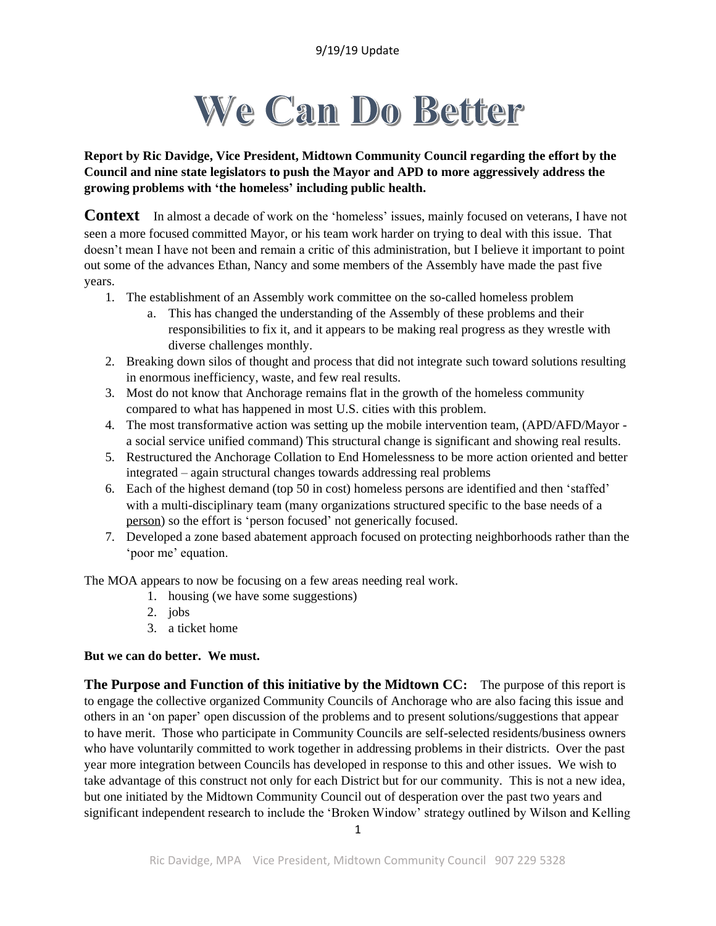# We Can Do Better

**Report by Ric Davidge, Vice President, Midtown Community Council regarding the effort by the Council and nine state legislators to push the Mayor and APD to more aggressively address the growing problems with 'the homeless' including public health.**

**Context** In almost a decade of work on the 'homeless' issues, mainly focused on veterans, I have not seen a more focused committed Mayor, or his team work harder on trying to deal with this issue. That doesn't mean I have not been and remain a critic of this administration, but I believe it important to point out some of the advances Ethan, Nancy and some members of the Assembly have made the past five years.

- 1. The establishment of an Assembly work committee on the so-called homeless problem
	- a. This has changed the understanding of the Assembly of these problems and their responsibilities to fix it, and it appears to be making real progress as they wrestle with diverse challenges monthly.
- 2. Breaking down silos of thought and process that did not integrate such toward solutions resulting in enormous inefficiency, waste, and few real results.
- 3. Most do not know that Anchorage remains flat in the growth of the homeless community compared to what has happened in most U.S. cities with this problem.
- 4. The most transformative action was setting up the mobile intervention team, (APD/AFD/Mayor a social service unified command) This structural change is significant and showing real results.
- 5. Restructured the Anchorage Collation to End Homelessness to be more action oriented and better integrated – again structural changes towards addressing real problems
- 6. Each of the highest demand (top 50 in cost) homeless persons are identified and then 'staffed' with a multi-disciplinary team (many organizations structured specific to the base needs of a person) so the effort is 'person focused' not generically focused.
- 7. Developed a zone based abatement approach focused on protecting neighborhoods rather than the 'poor me' equation.

The MOA appears to now be focusing on a few areas needing real work.

- 1. housing (we have some suggestions)
- 2. jobs
- 3. a ticket home

#### **But we can do better. We must.**

**The Purpose and Function of this initiative by the Midtown CC:** The purpose of this report is to engage the collective organized Community Councils of Anchorage who are also facing this issue and others in an 'on paper' open discussion of the problems and to present solutions/suggestions that appear to have merit. Those who participate in Community Councils are self-selected residents/business owners who have voluntarily committed to work together in addressing problems in their districts. Over the past year more integration between Councils has developed in response to this and other issues. We wish to take advantage of this construct not only for each District but for our community. This is not a new idea, but one initiated by the Midtown Community Council out of desperation over the past two years and significant independent research to include the 'Broken Window' strategy outlined by Wilson and Kelling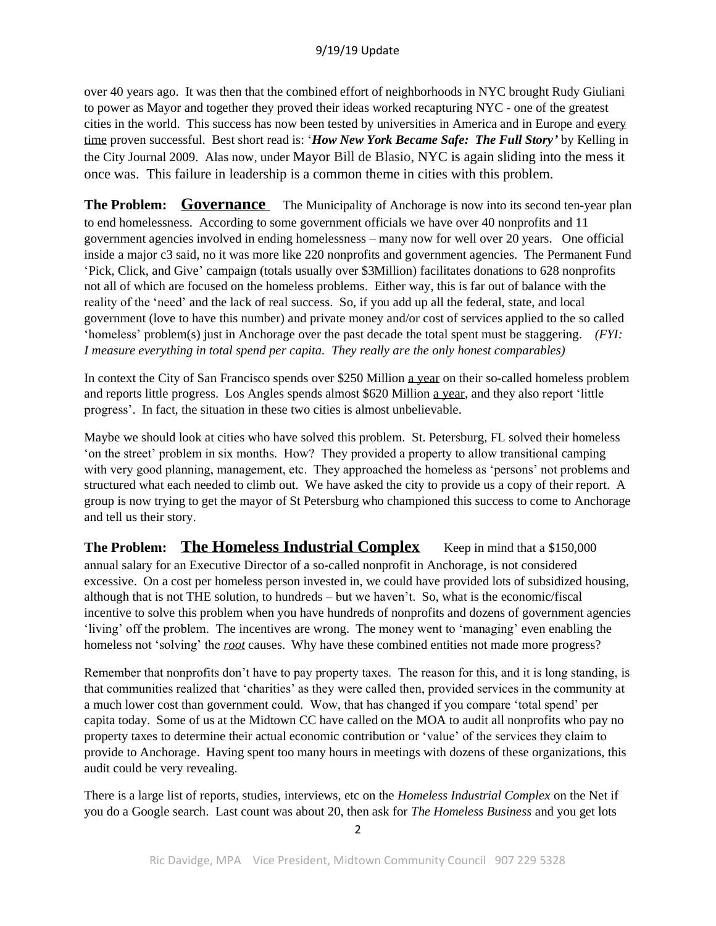over 40 years ago. It was then that the combined effort of neighborhoods in NYC brought Rudy Giuliani to power as Mayor and together they proved their ideas worked recapturing NYC - one of the greatest cities in the world. This success has now been tested by universities in America and in Europe and every time proven successful. Best short read is: '*How New York Became Safe: The Full Story'* by Kelling in the City Journal 2009. Alas now, under Mayor Bill de Blasio, NYC is again sliding into the mess it once was. This failure in leadership is a common theme in cities with this problem.

**The Problem: Governance** The Municipality of Anchorage is now into its second ten-year plan to end homelessness. According to some government officials we have over 40 nonprofits and 11 government agencies involved in ending homelessness – many now for well over 20 years. One official inside a major c3 said, no it was more like 220 nonprofits and government agencies. The Permanent Fund 'Pick, Click, and Give' campaign (totals usually over \$3Million) facilitates donations to 628 nonprofits not all of which are focused on the homeless problems. Either way, this is far out of balance with the reality of the 'need' and the lack of real success. So, if you add up all the federal, state, and local government (love to have this number) and private money and/or cost of services applied to the so called 'homeless' problem(s) just in Anchorage over the past decade the total spent must be staggering. *(FYI: I measure everything in total spend per capita. They really are the only honest comparables)*

In context the City of San Francisco spends over \$250 Million a year on their so-called homeless problem and reports little progress. Los Angles spends almost \$620 Million a year, and they also report 'little progress'. In fact, the situation in these two cities is almost unbelievable.

Maybe we should look at cities who have solved this problem. St. Petersburg, FL solved their homeless 'on the street' problem in six months. How? They provided a property to allow transitional camping with very good planning, management, etc. They approached the homeless as 'persons' not problems and structured what each needed to climb out. We have asked the city to provide us a copy of their report. A group is now trying to get the mayor of St Petersburg who championed this success to come to Anchorage and tell us their story.

**The Problem: The Homeless Industrial Complex Keep in mind that a \$150,000** annual salary for an Executive Director of a so-called nonprofit in Anchorage, is not considered excessive. On a cost per homeless person invested in, we could have provided lots of subsidized housing, although that is not THE solution, to hundreds – but we haven't. So, what is the economic/fiscal incentive to solve this problem when you have hundreds of nonprofits and dozens of government agencies 'living' off the problem. The incentives are wrong. The money went to 'managing' even enabling the homeless not 'solving' the *root* causes. Why have these combined entities not made more progress?

Remember that nonprofits don't have to pay property taxes. The reason for this, and it is long standing, is that communities realized that 'charities' as they were called then, provided services in the community at a much lower cost than government could. Wow, that has changed if you compare 'total spend' per capita today. Some of us at the Midtown CC have called on the MOA to audit all nonprofits who pay no property taxes to determine their actual economic contribution or 'value' of the services they claim to provide to Anchorage. Having spent too many hours in meetings with dozens of these organizations, this audit could be very revealing.

There is a large list of reports, studies, interviews, etc on the *Homeless Industrial Complex* on the Net if you do a Google search. Last count was about 20, then ask for *The Homeless Business* and you get lots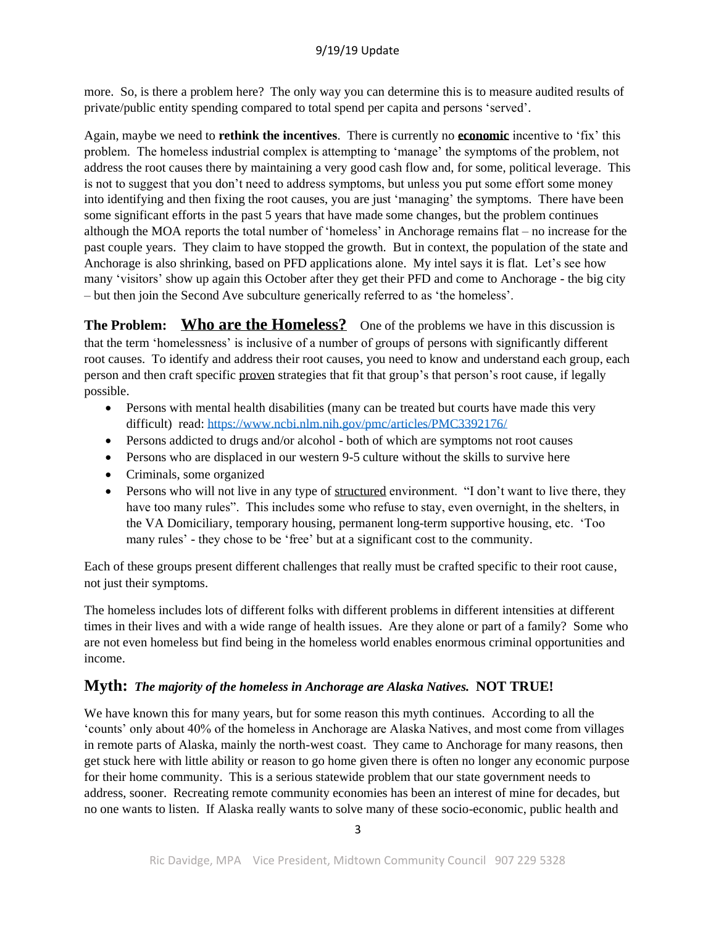more. So, is there a problem here? The only way you can determine this is to measure audited results of private/public entity spending compared to total spend per capita and persons 'served'.

Again, maybe we need to **rethink the incentives**. There is currently no **economic** incentive to 'fix' this problem. The homeless industrial complex is attempting to 'manage' the symptoms of the problem, not address the root causes there by maintaining a very good cash flow and, for some, political leverage. This is not to suggest that you don't need to address symptoms, but unless you put some effort some money into identifying and then fixing the root causes, you are just 'managing' the symptoms. There have been some significant efforts in the past 5 years that have made some changes, but the problem continues although the MOA reports the total number of 'homeless' in Anchorage remains flat – no increase for the past couple years. They claim to have stopped the growth. But in context, the population of the state and Anchorage is also shrinking, based on PFD applications alone. My intel says it is flat. Let's see how many 'visitors' show up again this October after they get their PFD and come to Anchorage - the big city – but then join the Second Ave subculture generically referred to as 'the homeless'.

**The Problem:** Who are the Homeless? One of the problems we have in this discussion is that the term 'homelessness' is inclusive of a number of groups of persons with significantly different root causes. To identify and address their root causes, you need to know and understand each group, each person and then craft specific proven strategies that fit that group's that person's root cause, if legally possible.

- Persons with mental health disabilities (many can be treated but courts have made this very difficult) read:<https://www.ncbi.nlm.nih.gov/pmc/articles/PMC3392176/>
- Persons addicted to drugs and/or alcohol both of which are symptoms not root causes
- Persons who are displaced in our western 9-5 culture without the skills to survive here
- Criminals, some organized
- Persons who will not live in any type of structured environment. "I don't want to live there, they have too many rules". This includes some who refuse to stay, even overnight, in the shelters, in the VA Domiciliary, temporary housing, permanent long-term supportive housing, etc. 'Too many rules' - they chose to be 'free' but at a significant cost to the community.

Each of these groups present different challenges that really must be crafted specific to their root cause, not just their symptoms.

The homeless includes lots of different folks with different problems in different intensities at different times in their lives and with a wide range of health issues. Are they alone or part of a family? Some who are not even homeless but find being in the homeless world enables enormous criminal opportunities and income.

## **Myth:** *The majority of the homeless in Anchorage are Alaska Natives.* **NOT TRUE!**

We have known this for many years, but for some reason this myth continues. According to all the 'counts' only about 40% of the homeless in Anchorage are Alaska Natives, and most come from villages in remote parts of Alaska, mainly the north-west coast. They came to Anchorage for many reasons, then get stuck here with little ability or reason to go home given there is often no longer any economic purpose for their home community. This is a serious statewide problem that our state government needs to address, sooner. Recreating remote community economies has been an interest of mine for decades, but no one wants to listen. If Alaska really wants to solve many of these socio-economic, public health and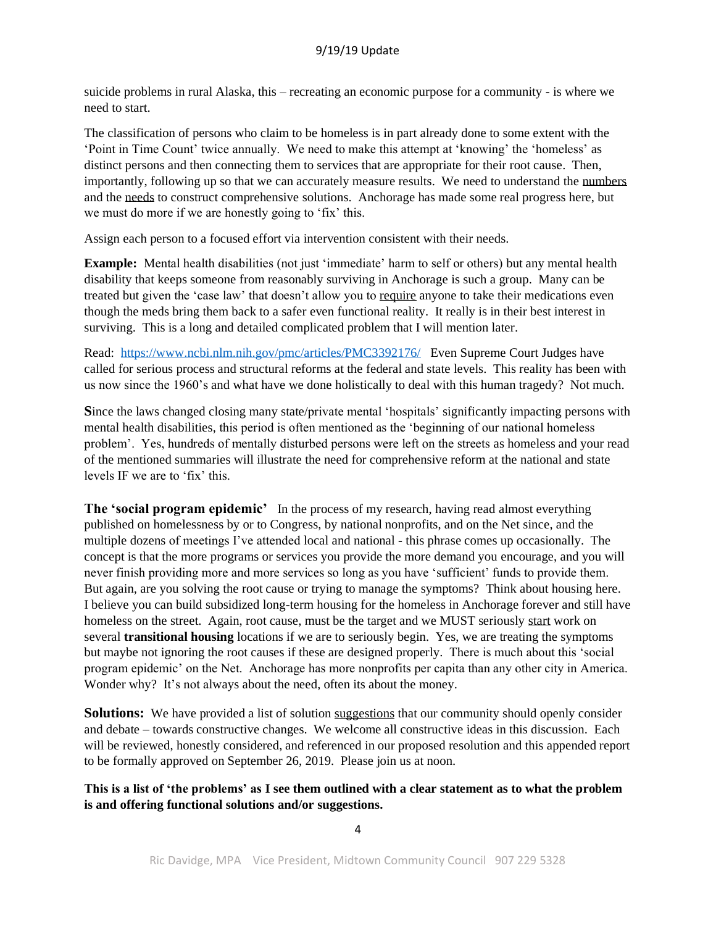suicide problems in rural Alaska, this – recreating an economic purpose for a community - is where we need to start.

The classification of persons who claim to be homeless is in part already done to some extent with the 'Point in Time Count' twice annually. We need to make this attempt at 'knowing' the 'homeless' as distinct persons and then connecting them to services that are appropriate for their root cause. Then, importantly, following up so that we can accurately measure results. We need to understand the numbers and the needs to construct comprehensive solutions. Anchorage has made some real progress here, but we must do more if we are honestly going to 'fix' this.

Assign each person to a focused effort via intervention consistent with their needs.

**Example:** Mental health disabilities (not just 'immediate' harm to self or others) but any mental health disability that keeps someone from reasonably surviving in Anchorage is such a group. Many can be treated but given the 'case law' that doesn't allow you to require anyone to take their medications even though the meds bring them back to a safer even functional reality. It really is in their best interest in surviving. This is a long and detailed complicated problem that I will mention later.

Read: <https://www.ncbi.nlm.nih.gov/pmc/articles/PMC3392176/> Even Supreme Court Judges have called for serious process and structural reforms at the federal and state levels. This reality has been with us now since the 1960's and what have we done holistically to deal with this human tragedy? Not much.

**S**ince the laws changed closing many state/private mental 'hospitals' significantly impacting persons with mental health disabilities, this period is often mentioned as the 'beginning of our national homeless problem'. Yes, hundreds of mentally disturbed persons were left on the streets as homeless and your read of the mentioned summaries will illustrate the need for comprehensive reform at the national and state levels IF we are to 'fix' this.

**The 'social program epidemic'** In the process of my research, having read almost everything published on homelessness by or to Congress, by national nonprofits, and on the Net since, and the multiple dozens of meetings I've attended local and national - this phrase comes up occasionally. The concept is that the more programs or services you provide the more demand you encourage, and you will never finish providing more and more services so long as you have 'sufficient' funds to provide them. But again, are you solving the root cause or trying to manage the symptoms? Think about housing here. I believe you can build subsidized long-term housing for the homeless in Anchorage forever and still have homeless on the street. Again, root cause, must be the target and we MUST seriously start work on several **transitional housing** locations if we are to seriously begin. Yes, we are treating the symptoms but maybe not ignoring the root causes if these are designed properly. There is much about this 'social program epidemic' on the Net. Anchorage has more nonprofits per capita than any other city in America. Wonder why? It's not always about the need, often its about the money.

**Solutions:** We have provided a list of solution suggestions that our community should openly consider and debate – towards constructive changes. We welcome all constructive ideas in this discussion. Each will be reviewed, honestly considered, and referenced in our proposed resolution and this appended report to be formally approved on September 26, 2019. Please join us at noon.

**This is a list of 'the problems' as I see them outlined with a clear statement as to what the problem is and offering functional solutions and/or suggestions.**

4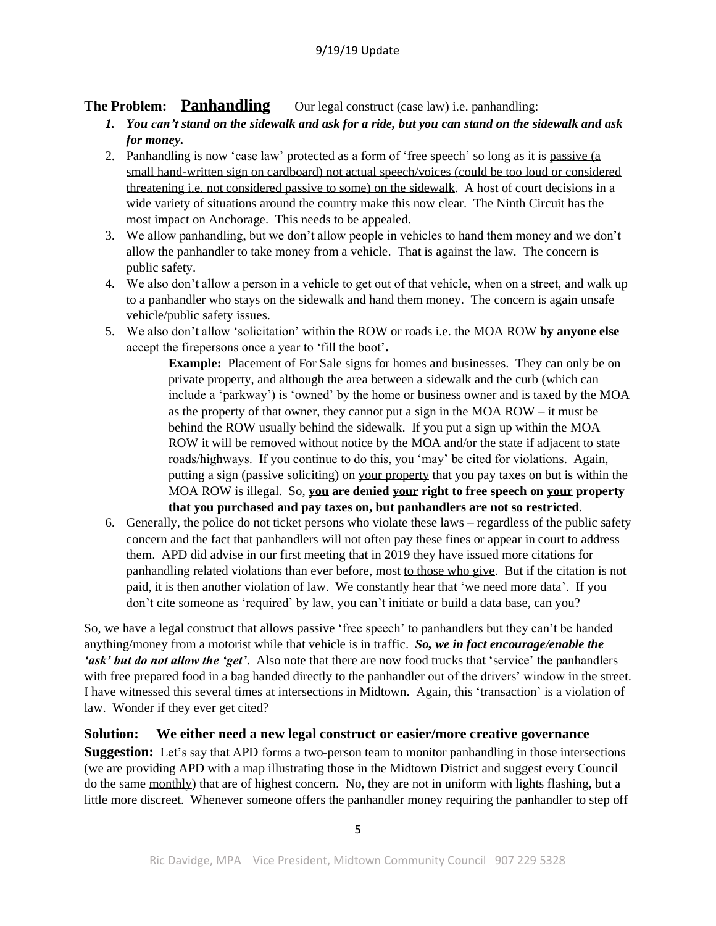## **The Problem:** Panhandling Our legal construct (case law) i.e. panhandling:

- *1. You can't stand on the sidewalk and ask for a ride, but you can stand on the sidewalk and ask for money.*
- 2. Panhandling is now 'case law' protected as a form of 'free speech' so long as it is passive (a small hand-written sign on cardboard) not actual speech/voices (could be too loud or considered threatening i.e. not considered passive to some) on the sidewalk. A host of court decisions in a wide variety of situations around the country make this now clear. The Ninth Circuit has the most impact on Anchorage. This needs to be appealed.
- 3. We allow panhandling, but we don't allow people in vehicles to hand them money and we don't allow the panhandler to take money from a vehicle. That is against the law. The concern is public safety.
- 4. We also don't allow a person in a vehicle to get out of that vehicle, when on a street, and walk up to a panhandler who stays on the sidewalk and hand them money. The concern is again unsafe vehicle/public safety issues.
- 5. We also don't allow 'solicitation' within the ROW or roads i.e. the MOA ROW **by anyone else** accept the firepersons once a year to 'fill the boot'**.**

**Example:** Placement of For Sale signs for homes and businesses. They can only be on private property, and although the area between a sidewalk and the curb (which can include a 'parkway') is 'owned' by the home or business owner and is taxed by the MOA as the property of that owner, they cannot put a sign in the MOA ROW – it must be behind the ROW usually behind the sidewalk. If you put a sign up within the MOA ROW it will be removed without notice by the MOA and/or the state if adjacent to state roads/highways. If you continue to do this, you 'may' be cited for violations. Again, putting a sign (passive soliciting) on your property that you pay taxes on but is within the MOA ROW is illegal. So, **you are denied your right to free speech on your property that you purchased and pay taxes on, but panhandlers are not so restricted**.

6. Generally, the police do not ticket persons who violate these laws – regardless of the public safety concern and the fact that panhandlers will not often pay these fines or appear in court to address them. APD did advise in our first meeting that in 2019 they have issued more citations for panhandling related violations than ever before, most to those who give. But if the citation is not paid, it is then another violation of law. We constantly hear that 'we need more data'. If you don't cite someone as 'required' by law, you can't initiate or build a data base, can you?

So, we have a legal construct that allows passive 'free speech' to panhandlers but they can't be handed anything/money from a motorist while that vehicle is in traffic. *So, we in fact encourage/enable the 'ask' but do not allow the 'get'*. Also note that there are now food trucks that 'service' the panhandlers with free prepared food in a bag handed directly to the panhandler out of the drivers' window in the street. I have witnessed this several times at intersections in Midtown. Again, this 'transaction' is a violation of law. Wonder if they ever get cited?

**Solution: We either need a new legal construct or easier/more creative governance Suggestion:** Let's say that APD forms a two-person team to monitor panhandling in those intersections (we are providing APD with a map illustrating those in the Midtown District and suggest every Council do the same monthly) that are of highest concern. No, they are not in uniform with lights flashing, but a little more discreet. Whenever someone offers the panhandler money requiring the panhandler to step off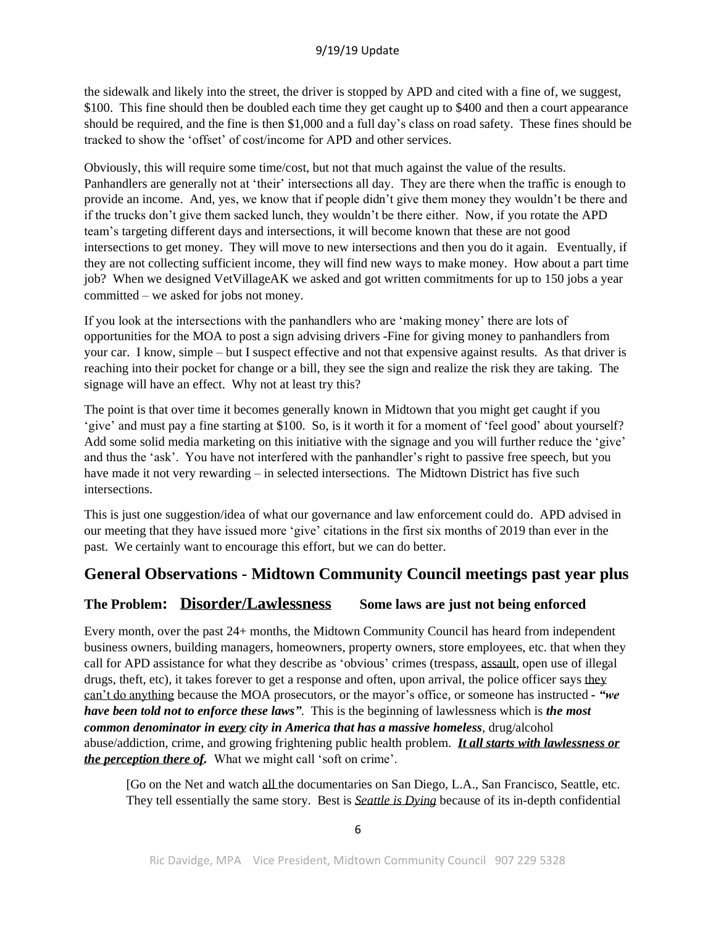the sidewalk and likely into the street, the driver is stopped by APD and cited with a fine of, we suggest, \$100. This fine should then be doubled each time they get caught up to \$400 and then a court appearance should be required, and the fine is then \$1,000 and a full day's class on road safety. These fines should be tracked to show the 'offset' of cost/income for APD and other services.

Obviously, this will require some time/cost, but not that much against the value of the results. Panhandlers are generally not at 'their' intersections all day. They are there when the traffic is enough to provide an income. And, yes, we know that if people didn't give them money they wouldn't be there and if the trucks don't give them sacked lunch, they wouldn't be there either. Now, if you rotate the APD team's targeting different days and intersections, it will become known that these are not good intersections to get money. They will move to new intersections and then you do it again. Eventually, if they are not collecting sufficient income, they will find new ways to make money. How about a part time job? When we designed VetVillageAK we asked and got written commitments for up to 150 jobs a year committed – we asked for jobs not money.

If you look at the intersections with the panhandlers who are 'making money' there are lots of opportunities for the MOA to post a sign advising drivers -Fine for giving money to panhandlers from your car. I know, simple – but I suspect effective and not that expensive against results. As that driver is reaching into their pocket for change or a bill, they see the sign and realize the risk they are taking. The signage will have an effect. Why not at least try this?

The point is that over time it becomes generally known in Midtown that you might get caught if you 'give' and must pay a fine starting at \$100. So, is it worth it for a moment of 'feel good' about yourself? Add some solid media marketing on this initiative with the signage and you will further reduce the 'give' and thus the 'ask'. You have not interfered with the panhandler's right to passive free speech, but you have made it not very rewarding – in selected intersections. The Midtown District has five such intersections.

This is just one suggestion/idea of what our governance and law enforcement could do. APD advised in our meeting that they have issued more 'give' citations in the first six months of 2019 than ever in the past. We certainly want to encourage this effort, but we can do better.

# **General Observations - Midtown Community Council meetings past year plus**

## **The Problem: Disorder/Lawlessness Some laws are just not being enforced**

Every month, over the past 24+ months, the Midtown Community Council has heard from independent business owners, building managers, homeowners, property owners, store employees, etc. that when they call for APD assistance for what they describe as 'obvious' crimes (trespass, assault, open use of illegal drugs, theft, etc), it takes forever to get a response and often, upon arrival, the police officer says they can't do anything because the MOA prosecutors, or the mayor's office, or someone has instructed *- "we have been told not to enforce these laws"*. This is the beginning of lawlessness which is *the most common denominator in every city in America that has a massive homeless*, drug/alcohol abuse/addiction, crime, and growing frightening public health problem. *It all starts with lawlessness or the perception there of.* What we might call 'soft on crime'.

[Go on the Net and watch all the documentaries on San Diego, L.A., San Francisco, Seattle, etc. They tell essentially the same story. Best is *Seattle is Dying* because of its in-depth confidential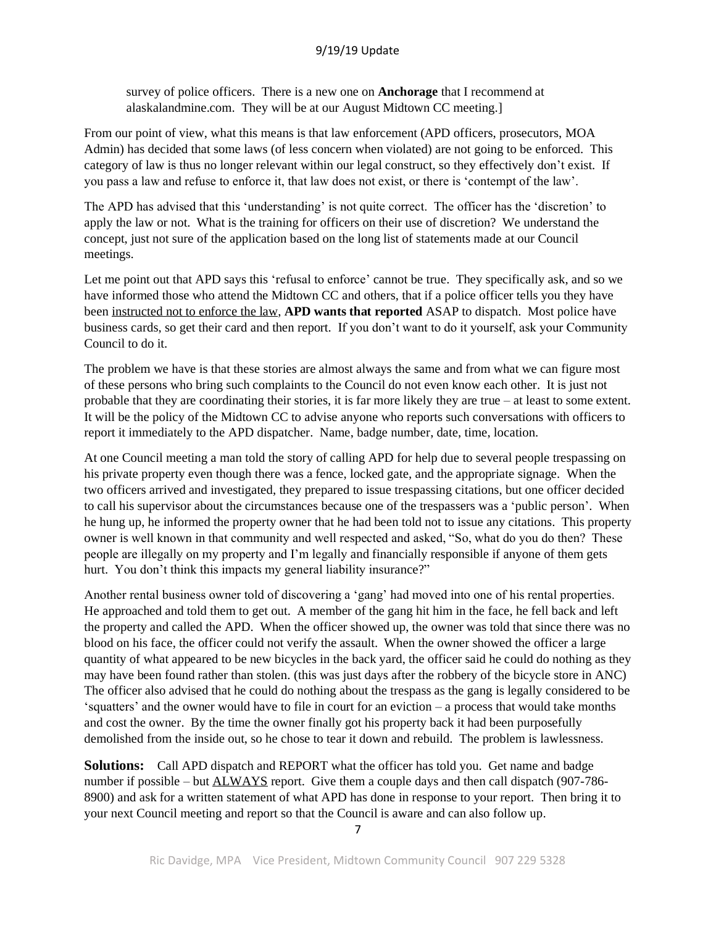survey of police officers. There is a new one on **Anchorage** that I recommend at alaskalandmine.com. They will be at our August Midtown CC meeting.]

From our point of view, what this means is that law enforcement (APD officers, prosecutors, MOA Admin) has decided that some laws (of less concern when violated) are not going to be enforced. This category of law is thus no longer relevant within our legal construct, so they effectively don't exist. If you pass a law and refuse to enforce it, that law does not exist, or there is 'contempt of the law'.

The APD has advised that this 'understanding' is not quite correct. The officer has the 'discretion' to apply the law or not. What is the training for officers on their use of discretion? We understand the concept, just not sure of the application based on the long list of statements made at our Council meetings.

Let me point out that APD says this 'refusal to enforce' cannot be true. They specifically ask, and so we have informed those who attend the Midtown CC and others, that if a police officer tells you they have been instructed not to enforce the law, **APD wants that reported** ASAP to dispatch. Most police have business cards, so get their card and then report. If you don't want to do it yourself, ask your Community Council to do it.

The problem we have is that these stories are almost always the same and from what we can figure most of these persons who bring such complaints to the Council do not even know each other. It is just not probable that they are coordinating their stories, it is far more likely they are true – at least to some extent. It will be the policy of the Midtown CC to advise anyone who reports such conversations with officers to report it immediately to the APD dispatcher. Name, badge number, date, time, location.

At one Council meeting a man told the story of calling APD for help due to several people trespassing on his private property even though there was a fence, locked gate, and the appropriate signage. When the two officers arrived and investigated, they prepared to issue trespassing citations, but one officer decided to call his supervisor about the circumstances because one of the trespassers was a 'public person'. When he hung up, he informed the property owner that he had been told not to issue any citations. This property owner is well known in that community and well respected and asked, "So, what do you do then? These people are illegally on my property and I'm legally and financially responsible if anyone of them gets hurt. You don't think this impacts my general liability insurance?"

Another rental business owner told of discovering a 'gang' had moved into one of his rental properties. He approached and told them to get out. A member of the gang hit him in the face, he fell back and left the property and called the APD. When the officer showed up, the owner was told that since there was no blood on his face, the officer could not verify the assault. When the owner showed the officer a large quantity of what appeared to be new bicycles in the back yard, the officer said he could do nothing as they may have been found rather than stolen. (this was just days after the robbery of the bicycle store in ANC) The officer also advised that he could do nothing about the trespass as the gang is legally considered to be 'squatters' and the owner would have to file in court for an eviction – a process that would take months and cost the owner. By the time the owner finally got his property back it had been purposefully demolished from the inside out, so he chose to tear it down and rebuild. The problem is lawlessness.

**Solutions:** Call APD dispatch and REPORT what the officer has told you. Get name and badge number if possible – but ALWAYS report. Give them a couple days and then call dispatch (907-786-8900) and ask for a written statement of what APD has done in response to your report. Then bring it to your next Council meeting and report so that the Council is aware and can also follow up.

7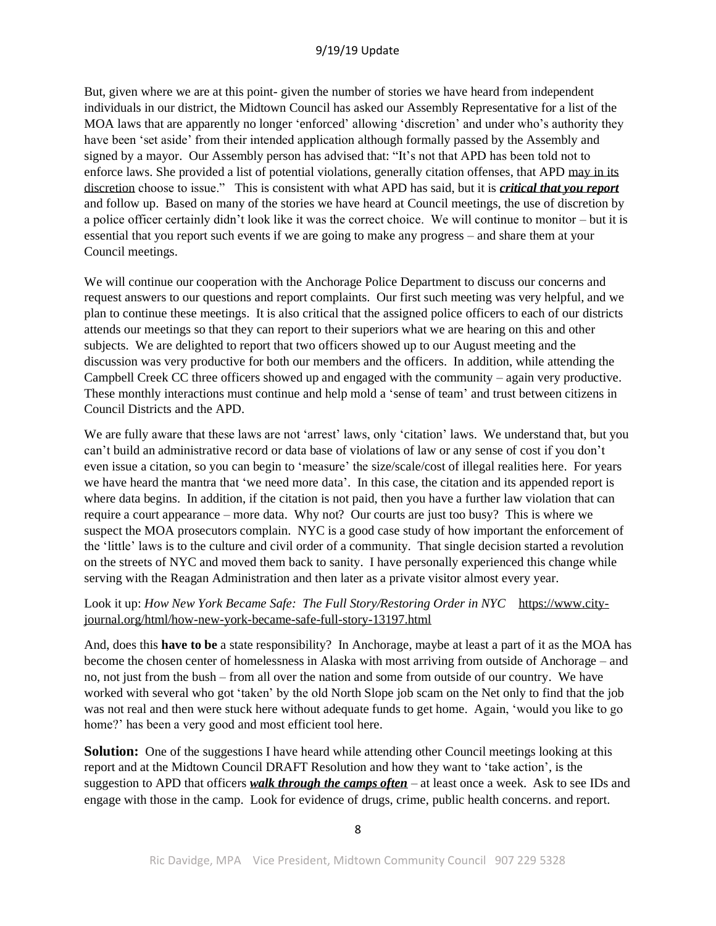But, given where we are at this point- given the number of stories we have heard from independent individuals in our district, the Midtown Council has asked our Assembly Representative for a list of the MOA laws that are apparently no longer 'enforced' allowing 'discretion' and under who's authority they have been 'set aside' from their intended application although formally passed by the Assembly and signed by a mayor. Our Assembly person has advised that: "It's not that APD has been told not to enforce laws. She provided a list of potential violations, generally citation offenses, that APD may in its discretion choose to issue." This is consistent with what APD has said, but it is *critical that you report* and follow up. Based on many of the stories we have heard at Council meetings, the use of discretion by a police officer certainly didn't look like it was the correct choice. We will continue to monitor – but it is essential that you report such events if we are going to make any progress – and share them at your Council meetings.

We will continue our cooperation with the Anchorage Police Department to discuss our concerns and request answers to our questions and report complaints. Our first such meeting was very helpful, and we plan to continue these meetings. It is also critical that the assigned police officers to each of our districts attends our meetings so that they can report to their superiors what we are hearing on this and other subjects. We are delighted to report that two officers showed up to our August meeting and the discussion was very productive for both our members and the officers. In addition, while attending the Campbell Creek CC three officers showed up and engaged with the community – again very productive. These monthly interactions must continue and help mold a 'sense of team' and trust between citizens in Council Districts and the APD.

We are fully aware that these laws are not 'arrest' laws, only 'citation' laws. We understand that, but you can't build an administrative record or data base of violations of law or any sense of cost if you don't even issue a citation, so you can begin to 'measure' the size/scale/cost of illegal realities here. For years we have heard the mantra that 'we need more data'. In this case, the citation and its appended report is where data begins. In addition, if the citation is not paid, then you have a further law violation that can require a court appearance – more data. Why not? Our courts are just too busy? This is where we suspect the MOA prosecutors complain. NYC is a good case study of how important the enforcement of the 'little' laws is to the culture and civil order of a community. That single decision started a revolution on the streets of NYC and moved them back to sanity. I have personally experienced this change while serving with the Reagan Administration and then later as a private visitor almost every year.

#### Look it up: *How New York Became Safe: The Full Story/Restoring Order in NYC* https://www.cityjournal.org/html/how-new-york-became-safe-full-story-13197.html

And, does this **have to be** a state responsibility? In Anchorage, maybe at least a part of it as the MOA has become the chosen center of homelessness in Alaska with most arriving from outside of Anchorage – and no, not just from the bush – from all over the nation and some from outside of our country. We have worked with several who got 'taken' by the old North Slope job scam on the Net only to find that the job was not real and then were stuck here without adequate funds to get home. Again, 'would you like to go home?' has been a very good and most efficient tool here.

**Solution:** One of the suggestions I have heard while attending other Council meetings looking at this report and at the Midtown Council DRAFT Resolution and how they want to 'take action', is the suggestion to APD that officers *walk through the camps often* – at least once a week. Ask to see IDs and engage with those in the camp. Look for evidence of drugs, crime, public health concerns. and report.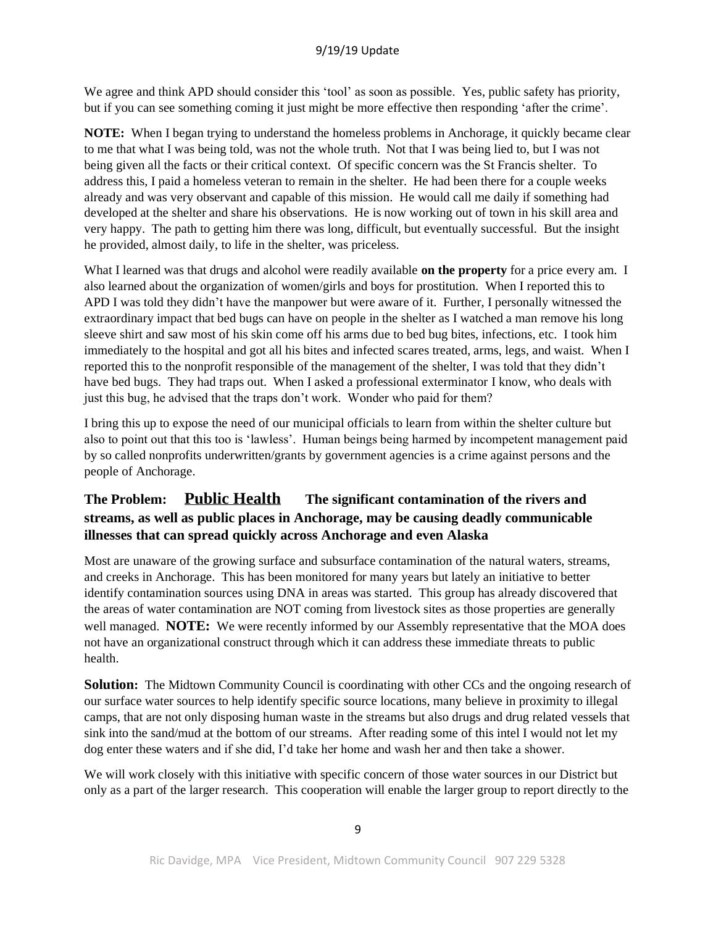We agree and think APD should consider this 'tool' as soon as possible. Yes, public safety has priority, but if you can see something coming it just might be more effective then responding 'after the crime'.

**NOTE:** When I began trying to understand the homeless problems in Anchorage, it quickly became clear to me that what I was being told, was not the whole truth. Not that I was being lied to, but I was not being given all the facts or their critical context. Of specific concern was the St Francis shelter. To address this, I paid a homeless veteran to remain in the shelter. He had been there for a couple weeks already and was very observant and capable of this mission. He would call me daily if something had developed at the shelter and share his observations. He is now working out of town in his skill area and very happy. The path to getting him there was long, difficult, but eventually successful. But the insight he provided, almost daily, to life in the shelter, was priceless.

What I learned was that drugs and alcohol were readily available **on the property** for a price every am. I also learned about the organization of women/girls and boys for prostitution. When I reported this to APD I was told they didn't have the manpower but were aware of it. Further, I personally witnessed the extraordinary impact that bed bugs can have on people in the shelter as I watched a man remove his long sleeve shirt and saw most of his skin come off his arms due to bed bug bites, infections, etc. I took him immediately to the hospital and got all his bites and infected scares treated, arms, legs, and waist. When I reported this to the nonprofit responsible of the management of the shelter, I was told that they didn't have bed bugs. They had traps out. When I asked a professional exterminator I know, who deals with just this bug, he advised that the traps don't work. Wonder who paid for them?

I bring this up to expose the need of our municipal officials to learn from within the shelter culture but also to point out that this too is 'lawless'. Human beings being harmed by incompetent management paid by so called nonprofits underwritten/grants by government agencies is a crime against persons and the people of Anchorage.

## **The Problem: Public Health The significant contamination of the rivers and streams, as well as public places in Anchorage, may be causing deadly communicable illnesses that can spread quickly across Anchorage and even Alaska**

Most are unaware of the growing surface and subsurface contamination of the natural waters, streams, and creeks in Anchorage. This has been monitored for many years but lately an initiative to better identify contamination sources using DNA in areas was started. This group has already discovered that the areas of water contamination are NOT coming from livestock sites as those properties are generally well managed. **NOTE:** We were recently informed by our Assembly representative that the MOA does not have an organizational construct through which it can address these immediate threats to public health.

**Solution:** The Midtown Community Council is coordinating with other CCs and the ongoing research of our surface water sources to help identify specific source locations, many believe in proximity to illegal camps, that are not only disposing human waste in the streams but also drugs and drug related vessels that sink into the sand/mud at the bottom of our streams. After reading some of this intel I would not let my dog enter these waters and if she did, I'd take her home and wash her and then take a shower.

We will work closely with this initiative with specific concern of those water sources in our District but only as a part of the larger research. This cooperation will enable the larger group to report directly to the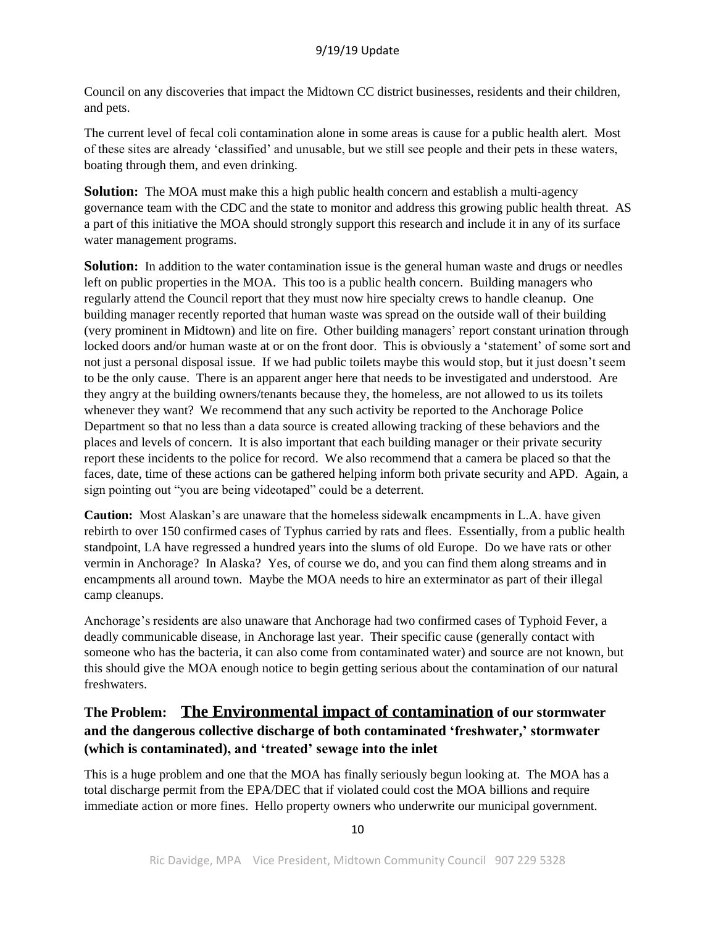Council on any discoveries that impact the Midtown CC district businesses, residents and their children, and pets.

The current level of fecal coli contamination alone in some areas is cause for a public health alert. Most of these sites are already 'classified' and unusable, but we still see people and their pets in these waters, boating through them, and even drinking.

**Solution:** The MOA must make this a high public health concern and establish a multi-agency governance team with the CDC and the state to monitor and address this growing public health threat. AS a part of this initiative the MOA should strongly support this research and include it in any of its surface water management programs.

**Solution:** In addition to the water contamination issue is the general human waste and drugs or needles left on public properties in the MOA. This too is a public health concern. Building managers who regularly attend the Council report that they must now hire specialty crews to handle cleanup. One building manager recently reported that human waste was spread on the outside wall of their building (very prominent in Midtown) and lite on fire. Other building managers' report constant urination through locked doors and/or human waste at or on the front door. This is obviously a 'statement' of some sort and not just a personal disposal issue. If we had public toilets maybe this would stop, but it just doesn't seem to be the only cause. There is an apparent anger here that needs to be investigated and understood. Are they angry at the building owners/tenants because they, the homeless, are not allowed to us its toilets whenever they want? We recommend that any such activity be reported to the Anchorage Police Department so that no less than a data source is created allowing tracking of these behaviors and the places and levels of concern. It is also important that each building manager or their private security report these incidents to the police for record. We also recommend that a camera be placed so that the faces, date, time of these actions can be gathered helping inform both private security and APD. Again, a sign pointing out "you are being videotaped" could be a deterrent.

**Caution:** Most Alaskan's are unaware that the homeless sidewalk encampments in L.A. have given rebirth to over 150 confirmed cases of Typhus carried by rats and flees. Essentially, from a public health standpoint, LA have regressed a hundred years into the slums of old Europe. Do we have rats or other vermin in Anchorage? In Alaska? Yes, of course we do, and you can find them along streams and in encampments all around town. Maybe the MOA needs to hire an exterminator as part of their illegal camp cleanups.

Anchorage's residents are also unaware that Anchorage had two confirmed cases of Typhoid Fever, a deadly communicable disease, in Anchorage last year. Their specific cause (generally contact with someone who has the bacteria, it can also come from contaminated water) and source are not known, but this should give the MOA enough notice to begin getting serious about the contamination of our natural freshwaters.

## **The Problem: The Environmental impact of contamination of our stormwater and the dangerous collective discharge of both contaminated 'freshwater,' stormwater (which is contaminated), and 'treated' sewage into the inlet**

This is a huge problem and one that the MOA has finally seriously begun looking at. The MOA has a total discharge permit from the EPA/DEC that if violated could cost the MOA billions and require immediate action or more fines. Hello property owners who underwrite our municipal government.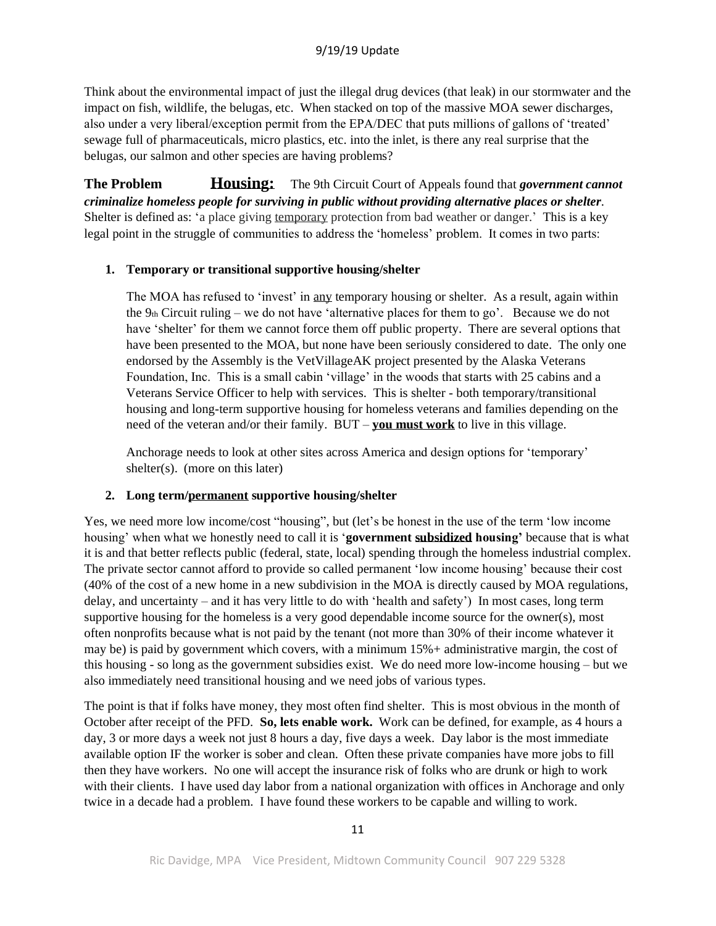Think about the environmental impact of just the illegal drug devices (that leak) in our stormwater and the impact on fish, wildlife, the belugas, etc. When stacked on top of the massive MOA sewer discharges, also under a very liberal/exception permit from the EPA/DEC that puts millions of gallons of 'treated' sewage full of pharmaceuticals, micro plastics, etc. into the inlet, is there any real surprise that the belugas, our salmon and other species are having problems?

**The Problem Housing:** The 9th Circuit Court of Appeals found that *government cannot criminalize homeless people for surviving in public without providing alternative places or shelter*. Shelter is defined as: 'a place giving temporary protection from bad weather or danger.' This is a key legal point in the struggle of communities to address the 'homeless' problem. It comes in two parts:

#### **1. Temporary or transitional supportive housing/shelter**

The MOA has refused to 'invest' in any temporary housing or shelter. As a result, again within the  $9<sub>th</sub> Circuit ruling - we do not have 'alternative places for them to go'. Because we do not$ have 'shelter' for them we cannot force them off public property. There are several options that have been presented to the MOA, but none have been seriously considered to date. The only one endorsed by the Assembly is the VetVillageAK project presented by the Alaska Veterans Foundation, Inc. This is a small cabin 'village' in the woods that starts with 25 cabins and a Veterans Service Officer to help with services. This is shelter - both temporary/transitional housing and long-term supportive housing for homeless veterans and families depending on the need of the veteran and/or their family. BUT – **you must work** to live in this village.

Anchorage needs to look at other sites across America and design options for 'temporary' shelter(s). (more on this later)

## **2. Long term/permanent supportive housing/shelter**

Yes, we need more low income/cost "housing", but (let's be honest in the use of the term 'low income housing' when what we honestly need to call it is '**government subsidized housing'** because that is what it is and that better reflects public (federal, state, local) spending through the homeless industrial complex. The private sector cannot afford to provide so called permanent 'low income housing' because their cost (40% of the cost of a new home in a new subdivision in the MOA is directly caused by MOA regulations, delay, and uncertainty – and it has very little to do with 'health and safety') In most cases, long term supportive housing for the homeless is a very good dependable income source for the owner(s), most often nonprofits because what is not paid by the tenant (not more than 30% of their income whatever it may be) is paid by government which covers, with a minimum 15%+ administrative margin, the cost of this housing - so long as the government subsidies exist. We do need more low-income housing – but we also immediately need transitional housing and we need jobs of various types.

The point is that if folks have money, they most often find shelter. This is most obvious in the month of October after receipt of the PFD. **So, lets enable work.** Work can be defined, for example, as 4 hours a day, 3 or more days a week not just 8 hours a day, five days a week. Day labor is the most immediate available option IF the worker is sober and clean. Often these private companies have more jobs to fill then they have workers. No one will accept the insurance risk of folks who are drunk or high to work with their clients. I have used day labor from a national organization with offices in Anchorage and only twice in a decade had a problem. I have found these workers to be capable and willing to work.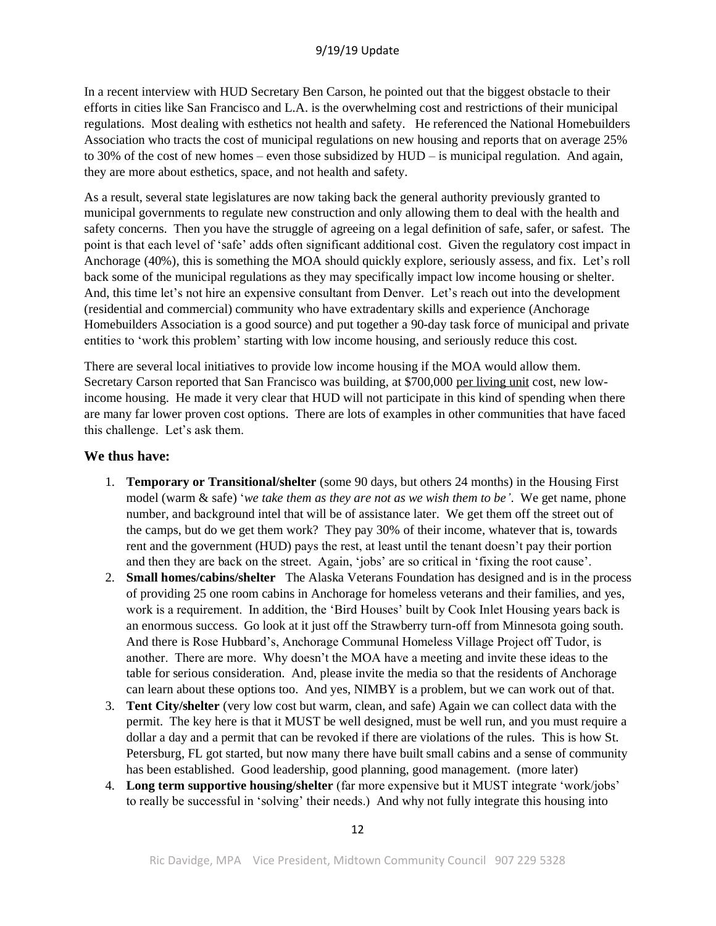In a recent interview with HUD Secretary Ben Carson, he pointed out that the biggest obstacle to their efforts in cities like San Francisco and L.A. is the overwhelming cost and restrictions of their municipal regulations. Most dealing with esthetics not health and safety. He referenced the National Homebuilders Association who tracts the cost of municipal regulations on new housing and reports that on average 25% to 30% of the cost of new homes – even those subsidized by HUD – is municipal regulation. And again, they are more about esthetics, space, and not health and safety.

As a result, several state legislatures are now taking back the general authority previously granted to municipal governments to regulate new construction and only allowing them to deal with the health and safety concerns. Then you have the struggle of agreeing on a legal definition of safe, safer, or safest. The point is that each level of 'safe' adds often significant additional cost. Given the regulatory cost impact in Anchorage (40%), this is something the MOA should quickly explore, seriously assess, and fix. Let's roll back some of the municipal regulations as they may specifically impact low income housing or shelter. And, this time let's not hire an expensive consultant from Denver. Let's reach out into the development (residential and commercial) community who have extradentary skills and experience (Anchorage Homebuilders Association is a good source) and put together a 90-day task force of municipal and private entities to 'work this problem' starting with low income housing, and seriously reduce this cost.

There are several local initiatives to provide low income housing if the MOA would allow them. Secretary Carson reported that San Francisco was building, at \$700,000 per living unit cost, new lowincome housing. He made it very clear that HUD will not participate in this kind of spending when there are many far lower proven cost options. There are lots of examples in other communities that have faced this challenge. Let's ask them.

## **We thus have:**

- 1. **Temporary or Transitional/shelter** (some 90 days, but others 24 months) in the Housing First model (warm & safe) '*we take them as they are not as we wish them to be'*. We get name, phone number, and background intel that will be of assistance later. We get them off the street out of the camps, but do we get them work? They pay 30% of their income, whatever that is, towards rent and the government (HUD) pays the rest, at least until the tenant doesn't pay their portion and then they are back on the street. Again, 'jobs' are so critical in 'fixing the root cause'.
- 2. **Small homes/cabins/shelter** The Alaska Veterans Foundation has designed and is in the process of providing 25 one room cabins in Anchorage for homeless veterans and their families, and yes, work is a requirement. In addition, the 'Bird Houses' built by Cook Inlet Housing years back is an enormous success. Go look at it just off the Strawberry turn-off from Minnesota going south. And there is Rose Hubbard's, Anchorage Communal Homeless Village Project off Tudor, is another. There are more. Why doesn't the MOA have a meeting and invite these ideas to the table for serious consideration. And, please invite the media so that the residents of Anchorage can learn about these options too. And yes, NIMBY is a problem, but we can work out of that.
- 3. **Tent City/shelter** (very low cost but warm, clean, and safe) Again we can collect data with the permit. The key here is that it MUST be well designed, must be well run, and you must require a dollar a day and a permit that can be revoked if there are violations of the rules. This is how St. Petersburg, FL got started, but now many there have built small cabins and a sense of community has been established. Good leadership, good planning, good management. (more later)
- 4. **Long term supportive housing/shelter** (far more expensive but it MUST integrate 'work/jobs' to really be successful in 'solving' their needs.) And why not fully integrate this housing into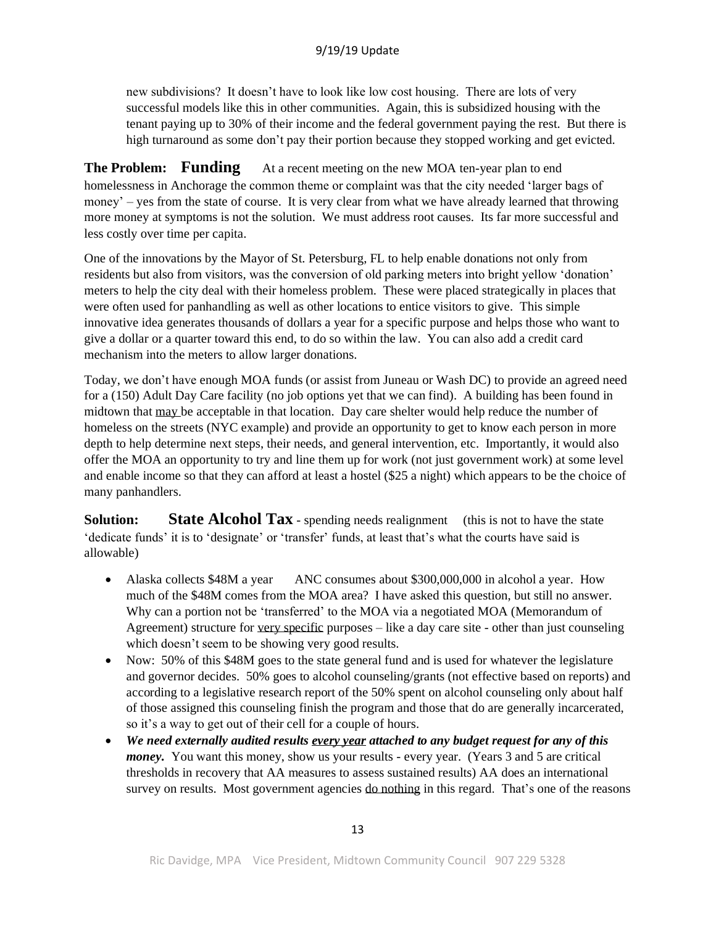new subdivisions? It doesn't have to look like low cost housing. There are lots of very successful models like this in other communities. Again, this is subsidized housing with the tenant paying up to 30% of their income and the federal government paying the rest. But there is high turnaround as some don't pay their portion because they stopped working and get evicted.

**The Problem:** Funding At a recent meeting on the new MOA ten-year plan to end homelessness in Anchorage the common theme or complaint was that the city needed 'larger bags of money' – yes from the state of course. It is very clear from what we have already learned that throwing more money at symptoms is not the solution. We must address root causes. Its far more successful and less costly over time per capita.

One of the innovations by the Mayor of St. Petersburg, FL to help enable donations not only from residents but also from visitors, was the conversion of old parking meters into bright yellow 'donation' meters to help the city deal with their homeless problem. These were placed strategically in places that were often used for panhandling as well as other locations to entice visitors to give. This simple innovative idea generates thousands of dollars a year for a specific purpose and helps those who want to give a dollar or a quarter toward this end, to do so within the law. You can also add a credit card mechanism into the meters to allow larger donations.

Today, we don't have enough MOA funds (or assist from Juneau or Wash DC) to provide an agreed need for a (150) Adult Day Care facility (no job options yet that we can find). A building has been found in midtown that may be acceptable in that location. Day care shelter would help reduce the number of homeless on the streets (NYC example) and provide an opportunity to get to know each person in more depth to help determine next steps, their needs, and general intervention, etc. Importantly, it would also offer the MOA an opportunity to try and line them up for work (not just government work) at some level and enable income so that they can afford at least a hostel (\$25 a night) which appears to be the choice of many panhandlers.

**Solution: State Alcohol Tax** - spending needs realignment (this is not to have the state 'dedicate funds' it is to 'designate' or 'transfer' funds, at least that's what the courts have said is allowable)

- Alaska collects \$48M a year ANC consumes about \$300,000,000 in alcohol a year. How much of the \$48M comes from the MOA area? I have asked this question, but still no answer. Why can a portion not be 'transferred' to the MOA via a negotiated MOA (Memorandum of Agreement) structure for very specific purposes – like a day care site - other than just counseling which doesn't seem to be showing very good results.
- Now: 50% of this \$48M goes to the state general fund and is used for whatever the legislature and governor decides. 50% goes to alcohol counseling/grants (not effective based on reports) and according to a legislative research report of the 50% spent on alcohol counseling only about half of those assigned this counseling finish the program and those that do are generally incarcerated, so it's a way to get out of their cell for a couple of hours.
- *We need externally audited results every year attached to any budget request for any of this money.* You want this money, show us your results - every year. (Years 3 and 5 are critical thresholds in recovery that AA measures to assess sustained results) AA does an international survey on results. Most government agencies do nothing in this regard. That's one of the reasons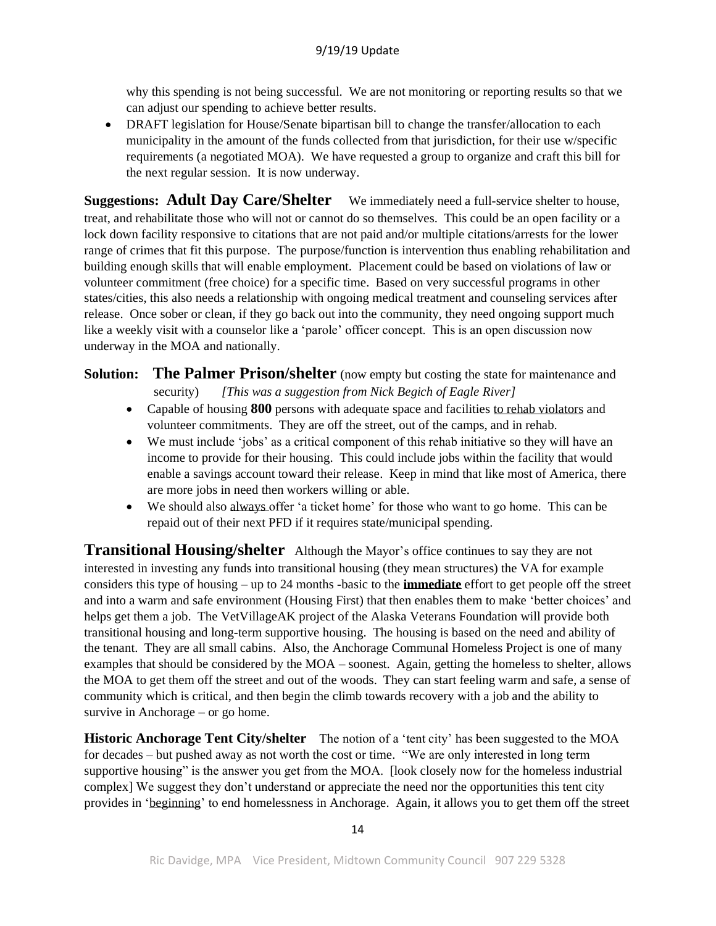why this spending is not being successful. We are not monitoring or reporting results so that we can adjust our spending to achieve better results.

• DRAFT legislation for House/Senate bipartisan bill to change the transfer/allocation to each municipality in the amount of the funds collected from that jurisdiction, for their use w/specific requirements (a negotiated MOA). We have requested a group to organize and craft this bill for the next regular session. It is now underway.

**Suggestions: Adult Day Care/Shelter** We immediately need a full-service shelter to house, treat, and rehabilitate those who will not or cannot do so themselves. This could be an open facility or a lock down facility responsive to citations that are not paid and/or multiple citations/arrests for the lower range of crimes that fit this purpose. The purpose/function is intervention thus enabling rehabilitation and building enough skills that will enable employment. Placement could be based on violations of law or volunteer commitment (free choice) for a specific time. Based on very successful programs in other states/cities, this also needs a relationship with ongoing medical treatment and counseling services after release. Once sober or clean, if they go back out into the community, they need ongoing support much like a weekly visit with a counselor like a 'parole' officer concept. This is an open discussion now underway in the MOA and nationally.

- **Solution: The Palmer Prison/shelter** (now empty but costing the state for maintenance and security)*[This was a suggestion from Nick Begich of Eagle River]*
	- Capable of housing **800** persons with adequate space and facilities to rehab violators and volunteer commitments. They are off the street, out of the camps, and in rehab.
	- We must include 'jobs' as a critical component of this rehab initiative so they will have an income to provide for their housing. This could include jobs within the facility that would enable a savings account toward their release. Keep in mind that like most of America, there are more jobs in need then workers willing or able.
	- We should also always offer 'a ticket home' for those who want to go home. This can be repaid out of their next PFD if it requires state/municipal spending.

**Transitional Housing/shelter** Although the Mayor's office continues to say they are not interested in investing any funds into transitional housing (they mean structures) the VA for example considers this type of housing – up to 24 months -basic to the **immediate** effort to get people off the street and into a warm and safe environment (Housing First) that then enables them to make 'better choices' and helps get them a job. The VetVillageAK project of the Alaska Veterans Foundation will provide both transitional housing and long-term supportive housing. The housing is based on the need and ability of the tenant. They are all small cabins. Also, the Anchorage Communal Homeless Project is one of many examples that should be considered by the MOA – soonest. Again, getting the homeless to shelter, allows the MOA to get them off the street and out of the woods. They can start feeling warm and safe, a sense of community which is critical, and then begin the climb towards recovery with a job and the ability to survive in Anchorage – or go home.

**Historic Anchorage Tent City/shelter** The notion of a 'tent city' has been suggested to the MOA for decades – but pushed away as not worth the cost or time. "We are only interested in long term supportive housing" is the answer you get from the MOA. [look closely now for the homeless industrial complex] We suggest they don't understand or appreciate the need nor the opportunities this tent city provides in 'beginning' to end homelessness in Anchorage. Again, it allows you to get them off the street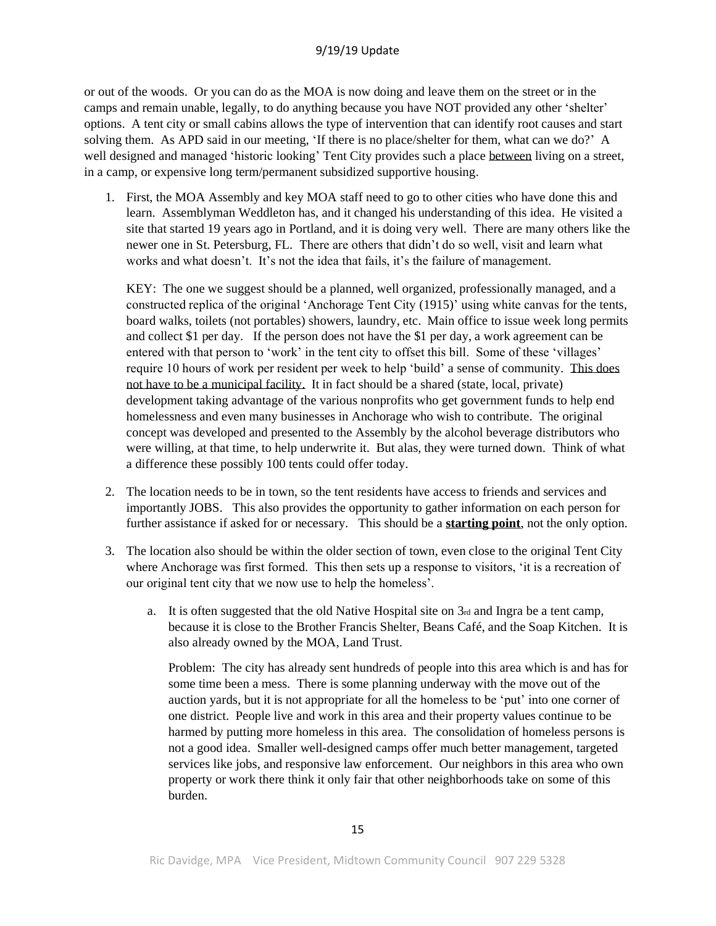or out of the woods. Or you can do as the MOA is now doing and leave them on the street or in the camps and remain unable, legally, to do anything because you have NOT provided any other 'shelter' options. A tent city or small cabins allows the type of intervention that can identify root causes and start solving them. As APD said in our meeting, 'If there is no place/shelter for them, what can we do?' A well designed and managed 'historic looking' Tent City provides such a place between living on a street, in a camp, or expensive long term/permanent subsidized supportive housing.

1. First, the MOA Assembly and key MOA staff need to go to other cities who have done this and learn. Assemblyman Weddleton has, and it changed his understanding of this idea. He visited a site that started 19 years ago in Portland, and it is doing very well. There are many others like the newer one in St. Petersburg, FL. There are others that didn't do so well, visit and learn what works and what doesn't. It's not the idea that fails, it's the failure of management.

KEY: The one we suggest should be a planned, well organized, professionally managed, and a constructed replica of the original 'Anchorage Tent City (1915)' using white canvas for the tents, board walks, toilets (not portables) showers, laundry, etc. Main office to issue week long permits and collect \$1 per day. If the person does not have the \$1 per day, a work agreement can be entered with that person to 'work' in the tent city to offset this bill. Some of these 'villages' require 10 hours of work per resident per week to help 'build' a sense of community. This does not have to be a municipal facility. It in fact should be a shared (state, local, private) development taking advantage of the various nonprofits who get government funds to help end homelessness and even many businesses in Anchorage who wish to contribute. The original concept was developed and presented to the Assembly by the alcohol beverage distributors who were willing, at that time, to help underwrite it. But alas, they were turned down. Think of what a difference these possibly 100 tents could offer today.

- 2. The location needs to be in town, so the tent residents have access to friends and services and importantly JOBS. This also provides the opportunity to gather information on each person for further assistance if asked for or necessary. This should be a **starting point**, not the only option.
- 3. The location also should be within the older section of town, even close to the original Tent City where Anchorage was first formed. This then sets up a response to visitors, 'it is a recreation of our original tent city that we now use to help the homeless'.
	- a. It is often suggested that the old Native Hospital site on  $3<sub>rd</sub>$  and Ingra be a tent camp, because it is close to the Brother Francis Shelter, Beans Café, and the Soap Kitchen. It is also already owned by the MOA, Land Trust.

Problem: The city has already sent hundreds of people into this area which is and has for some time been a mess. There is some planning underway with the move out of the auction yards, but it is not appropriate for all the homeless to be 'put' into one corner of one district. People live and work in this area and their property values continue to be harmed by putting more homeless in this area. The consolidation of homeless persons is not a good idea. Smaller well-designed camps offer much better management, targeted services like jobs, and responsive law enforcement. Our neighbors in this area who own property or work there think it only fair that other neighborhoods take on some of this burden.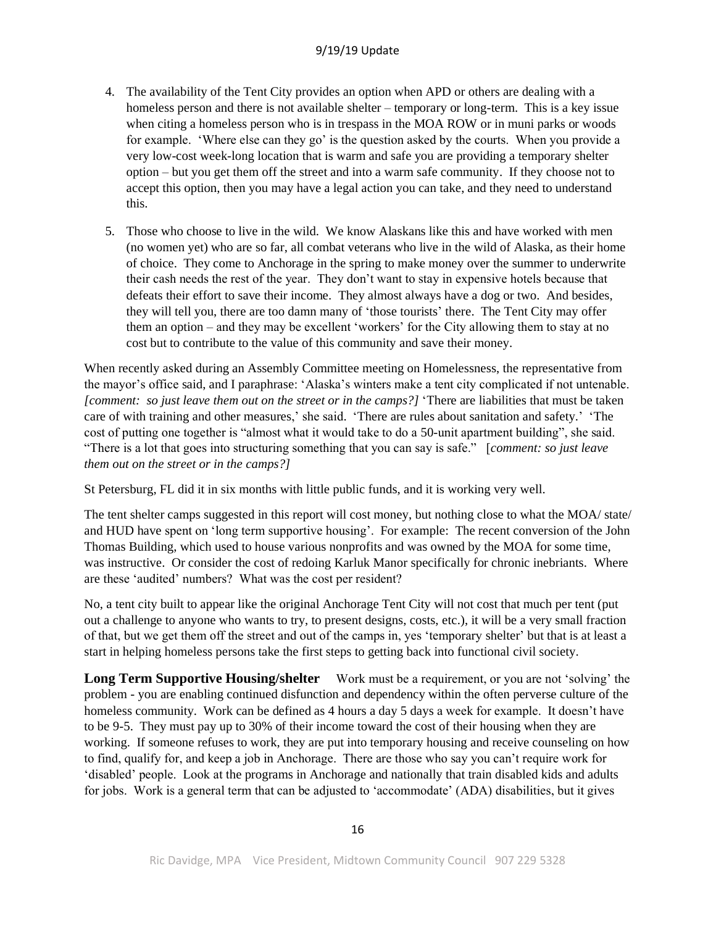- 4. The availability of the Tent City provides an option when APD or others are dealing with a homeless person and there is not available shelter – temporary or long-term. This is a key issue when citing a homeless person who is in trespass in the MOA ROW or in muni parks or woods for example. 'Where else can they go' is the question asked by the courts. When you provide a very low-cost week-long location that is warm and safe you are providing a temporary shelter option – but you get them off the street and into a warm safe community. If they choose not to accept this option, then you may have a legal action you can take, and they need to understand this.
- 5. Those who choose to live in the wild. We know Alaskans like this and have worked with men (no women yet) who are so far, all combat veterans who live in the wild of Alaska, as their home of choice. They come to Anchorage in the spring to make money over the summer to underwrite their cash needs the rest of the year. They don't want to stay in expensive hotels because that defeats their effort to save their income. They almost always have a dog or two. And besides, they will tell you, there are too damn many of 'those tourists' there. The Tent City may offer them an option – and they may be excellent 'workers' for the City allowing them to stay at no cost but to contribute to the value of this community and save their money.

When recently asked during an Assembly Committee meeting on Homelessness, the representative from the mayor's office said, and I paraphrase: 'Alaska's winters make a tent city complicated if not untenable. *[comment: so just leave them out on the street or in the camps?]* 'There are liabilities that must be taken care of with training and other measures,' she said. 'There are rules about sanitation and safety.' 'The cost of putting one together is "almost what it would take to do a 50-unit apartment building", she said. "There is a lot that goes into structuring something that you can say is safe." [*comment: so just leave them out on the street or in the camps?]*

St Petersburg, FL did it in six months with little public funds, and it is working very well.

The tent shelter camps suggested in this report will cost money, but nothing close to what the MOA/ state/ and HUD have spent on 'long term supportive housing'. For example: The recent conversion of the John Thomas Building, which used to house various nonprofits and was owned by the MOA for some time, was instructive. Or consider the cost of redoing Karluk Manor specifically for chronic inebriants. Where are these 'audited' numbers? What was the cost per resident?

No, a tent city built to appear like the original Anchorage Tent City will not cost that much per tent (put out a challenge to anyone who wants to try, to present designs, costs, etc.), it will be a very small fraction of that, but we get them off the street and out of the camps in, yes 'temporary shelter' but that is at least a start in helping homeless persons take the first steps to getting back into functional civil society.

**Long Term Supportive Housing/shelter** Work must be a requirement, or you are not 'solving' the problem - you are enabling continued disfunction and dependency within the often perverse culture of the homeless community. Work can be defined as 4 hours a day 5 days a week for example. It doesn't have to be 9-5. They must pay up to 30% of their income toward the cost of their housing when they are working. If someone refuses to work, they are put into temporary housing and receive counseling on how to find, qualify for, and keep a job in Anchorage. There are those who say you can't require work for 'disabled' people. Look at the programs in Anchorage and nationally that train disabled kids and adults for jobs. Work is a general term that can be adjusted to 'accommodate' (ADA) disabilities, but it gives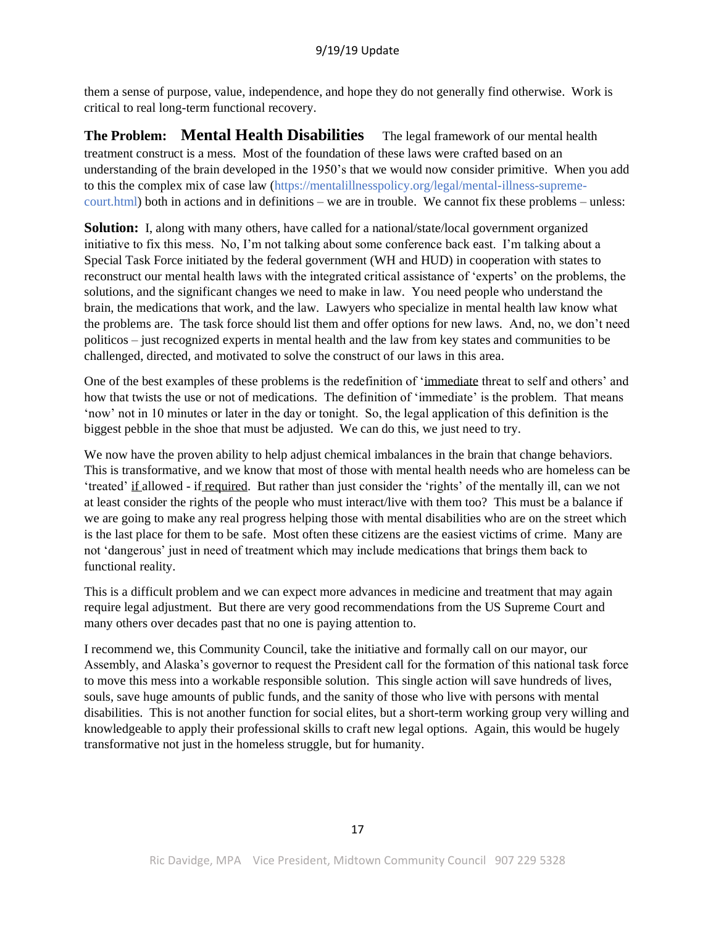them a sense of purpose, value, independence, and hope they do not generally find otherwise. Work is critical to real long-term functional recovery.

**The Problem: Mental Health Disabilities** The legal framework of our mental health treatment construct is a mess. Most of the foundation of these laws were crafted based on an understanding of the brain developed in the 1950's that we would now consider primitive. When you add to this the complex mix of case law (https://mentalillnesspolicy.org/legal/mental-illness-supremecourt.html) both in actions and in definitions – we are in trouble. We cannot fix these problems – unless:

**Solution:** I, along with many others, have called for a national/state/local government organized initiative to fix this mess. No, I'm not talking about some conference back east. I'm talking about a Special Task Force initiated by the federal government (WH and HUD) in cooperation with states to reconstruct our mental health laws with the integrated critical assistance of 'experts' on the problems, the solutions, and the significant changes we need to make in law. You need people who understand the brain, the medications that work, and the law. Lawyers who specialize in mental health law know what the problems are. The task force should list them and offer options for new laws. And, no, we don't need politicos – just recognized experts in mental health and the law from key states and communities to be challenged, directed, and motivated to solve the construct of our laws in this area.

One of the best examples of these problems is the redefinition of 'immediate threat to self and others' and how that twists the use or not of medications. The definition of 'immediate' is the problem. That means 'now' not in 10 minutes or later in the day or tonight. So, the legal application of this definition is the biggest pebble in the shoe that must be adjusted. We can do this, we just need to try.

We now have the proven ability to help adjust chemical imbalances in the brain that change behaviors. This is transformative, and we know that most of those with mental health needs who are homeless can be 'treated' if allowed - if required. But rather than just consider the 'rights' of the mentally ill, can we not at least consider the rights of the people who must interact/live with them too? This must be a balance if we are going to make any real progress helping those with mental disabilities who are on the street which is the last place for them to be safe. Most often these citizens are the easiest victims of crime. Many are not 'dangerous' just in need of treatment which may include medications that brings them back to functional reality.

This is a difficult problem and we can expect more advances in medicine and treatment that may again require legal adjustment. But there are very good recommendations from the US Supreme Court and many others over decades past that no one is paying attention to.

I recommend we, this Community Council, take the initiative and formally call on our mayor, our Assembly, and Alaska's governor to request the President call for the formation of this national task force to move this mess into a workable responsible solution. This single action will save hundreds of lives, souls, save huge amounts of public funds, and the sanity of those who live with persons with mental disabilities. This is not another function for social elites, but a short-term working group very willing and knowledgeable to apply their professional skills to craft new legal options. Again, this would be hugely transformative not just in the homeless struggle, but for humanity.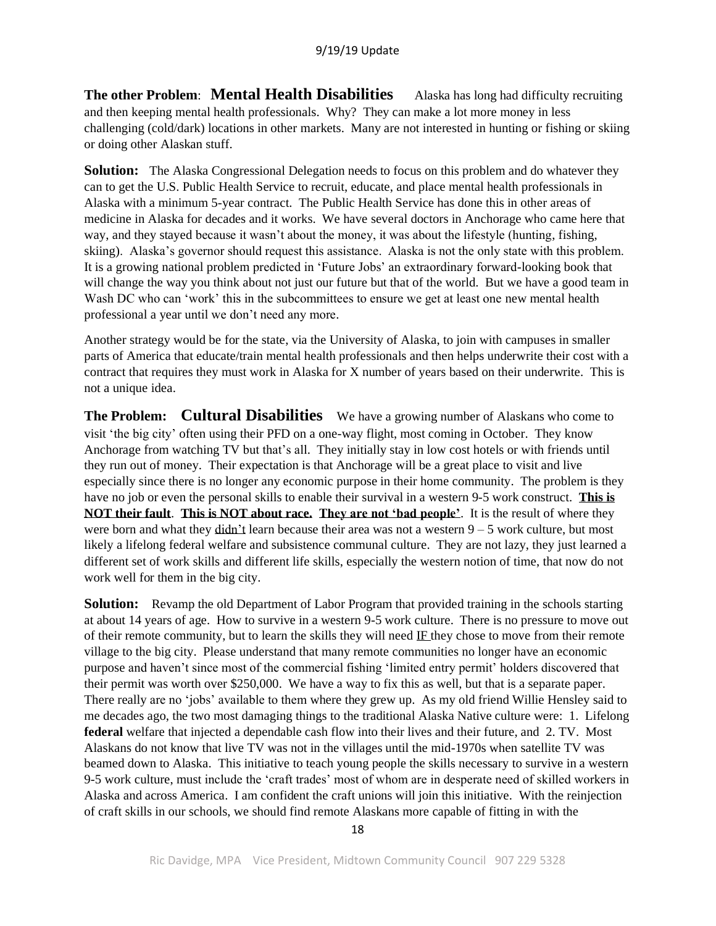**The other Problem**: **Mental Health Disabilities** Alaska has long had difficulty recruiting and then keeping mental health professionals. Why? They can make a lot more money in less challenging (cold/dark) locations in other markets. Many are not interested in hunting or fishing or skiing or doing other Alaskan stuff.

**Solution:** The Alaska Congressional Delegation needs to focus on this problem and do whatever they can to get the U.S. Public Health Service to recruit, educate, and place mental health professionals in Alaska with a minimum 5-year contract. The Public Health Service has done this in other areas of medicine in Alaska for decades and it works. We have several doctors in Anchorage who came here that way, and they stayed because it wasn't about the money, it was about the lifestyle (hunting, fishing, skiing). Alaska's governor should request this assistance. Alaska is not the only state with this problem. It is a growing national problem predicted in 'Future Jobs' an extraordinary forward-looking book that will change the way you think about not just our future but that of the world. But we have a good team in Wash DC who can 'work' this in the subcommittees to ensure we get at least one new mental health professional a year until we don't need any more.

Another strategy would be for the state, via the University of Alaska, to join with campuses in smaller parts of America that educate/train mental health professionals and then helps underwrite their cost with a contract that requires they must work in Alaska for X number of years based on their underwrite. This is not a unique idea.

**The Problem: Cultural Disabilities** We have a growing number of Alaskans who come to visit 'the big city' often using their PFD on a one-way flight, most coming in October. They know Anchorage from watching TV but that's all. They initially stay in low cost hotels or with friends until they run out of money. Their expectation is that Anchorage will be a great place to visit and live especially since there is no longer any economic purpose in their home community. The problem is they have no job or even the personal skills to enable their survival in a western 9-5 work construct. **This is NOT their fault**. **This is NOT about race. They are not 'bad people'**. It is the result of where they were born and what they didn't learn because their area was not a western  $9 - 5$  work culture, but most likely a lifelong federal welfare and subsistence communal culture. They are not lazy, they just learned a different set of work skills and different life skills, especially the western notion of time, that now do not work well for them in the big city.

**Solution:** Revamp the old Department of Labor Program that provided training in the schools starting at about 14 years of age. How to survive in a western 9-5 work culture. There is no pressure to move out of their remote community, but to learn the skills they will need IF they chose to move from their remote village to the big city. Please understand that many remote communities no longer have an economic purpose and haven't since most of the commercial fishing 'limited entry permit' holders discovered that their permit was worth over \$250,000. We have a way to fix this as well, but that is a separate paper. There really are no 'jobs' available to them where they grew up. As my old friend Willie Hensley said to me decades ago, the two most damaging things to the traditional Alaska Native culture were: 1. Lifelong **federal** welfare that injected a dependable cash flow into their lives and their future, and 2. TV. Most Alaskans do not know that live TV was not in the villages until the mid-1970s when satellite TV was beamed down to Alaska. This initiative to teach young people the skills necessary to survive in a western 9-5 work culture, must include the 'craft trades' most of whom are in desperate need of skilled workers in Alaska and across America. I am confident the craft unions will join this initiative. With the reinjection of craft skills in our schools, we should find remote Alaskans more capable of fitting in with the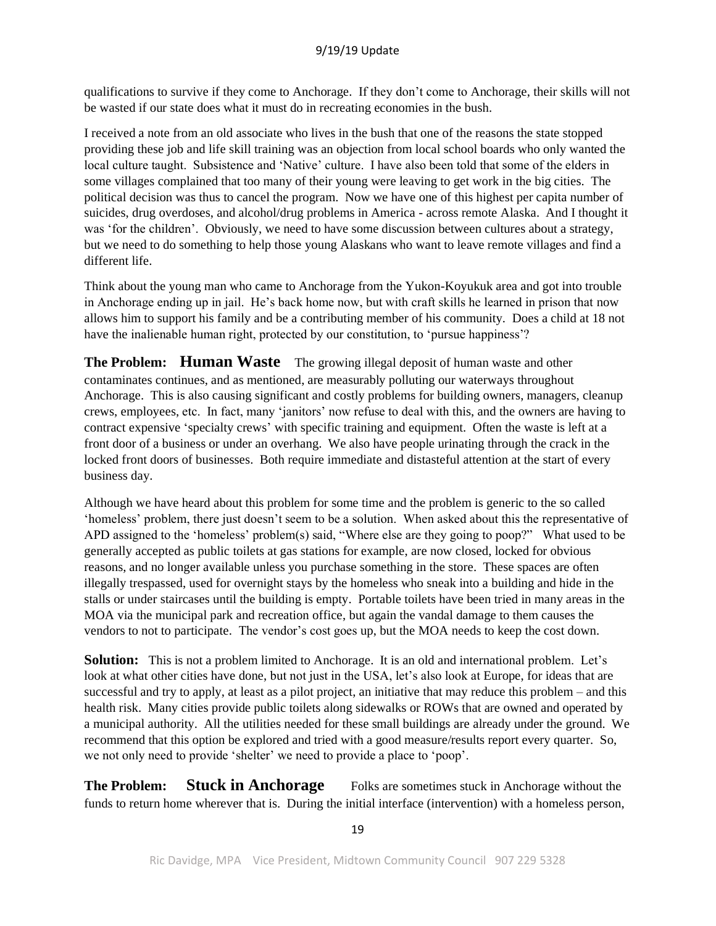qualifications to survive if they come to Anchorage. If they don't come to Anchorage, their skills will not be wasted if our state does what it must do in recreating economies in the bush.

I received a note from an old associate who lives in the bush that one of the reasons the state stopped providing these job and life skill training was an objection from local school boards who only wanted the local culture taught. Subsistence and 'Native' culture. I have also been told that some of the elders in some villages complained that too many of their young were leaving to get work in the big cities. The political decision was thus to cancel the program. Now we have one of this highest per capita number of suicides, drug overdoses, and alcohol/drug problems in America - across remote Alaska. And I thought it was 'for the children'. Obviously, we need to have some discussion between cultures about a strategy, but we need to do something to help those young Alaskans who want to leave remote villages and find a different life.

Think about the young man who came to Anchorage from the Yukon-Koyukuk area and got into trouble in Anchorage ending up in jail. He's back home now, but with craft skills he learned in prison that now allows him to support his family and be a contributing member of his community. Does a child at 18 not have the inalienable human right, protected by our constitution, to 'pursue happiness'?

**The Problem: Human Waste** The growing illegal deposit of human waste and other contaminates continues, and as mentioned, are measurably polluting our waterways throughout Anchorage. This is also causing significant and costly problems for building owners, managers, cleanup crews, employees, etc. In fact, many 'janitors' now refuse to deal with this, and the owners are having to contract expensive 'specialty crews' with specific training and equipment. Often the waste is left at a front door of a business or under an overhang. We also have people urinating through the crack in the locked front doors of businesses. Both require immediate and distasteful attention at the start of every business day.

Although we have heard about this problem for some time and the problem is generic to the so called 'homeless' problem, there just doesn't seem to be a solution. When asked about this the representative of APD assigned to the 'homeless' problem(s) said, "Where else are they going to poop?" What used to be generally accepted as public toilets at gas stations for example, are now closed, locked for obvious reasons, and no longer available unless you purchase something in the store. These spaces are often illegally trespassed, used for overnight stays by the homeless who sneak into a building and hide in the stalls or under staircases until the building is empty. Portable toilets have been tried in many areas in the MOA via the municipal park and recreation office, but again the vandal damage to them causes the vendors to not to participate. The vendor's cost goes up, but the MOA needs to keep the cost down.

**Solution:** This is not a problem limited to Anchorage. It is an old and international problem. Let's look at what other cities have done, but not just in the USA, let's also look at Europe, for ideas that are successful and try to apply, at least as a pilot project, an initiative that may reduce this problem – and this health risk. Many cities provide public toilets along sidewalks or ROWs that are owned and operated by a municipal authority. All the utilities needed for these small buildings are already under the ground. We recommend that this option be explored and tried with a good measure/results report every quarter. So, we not only need to provide 'shelter' we need to provide a place to 'poop'.

**The Problem: Stuck in Anchorage** Folks are sometimes stuck in Anchorage without the funds to return home wherever that is. During the initial interface (intervention) with a homeless person,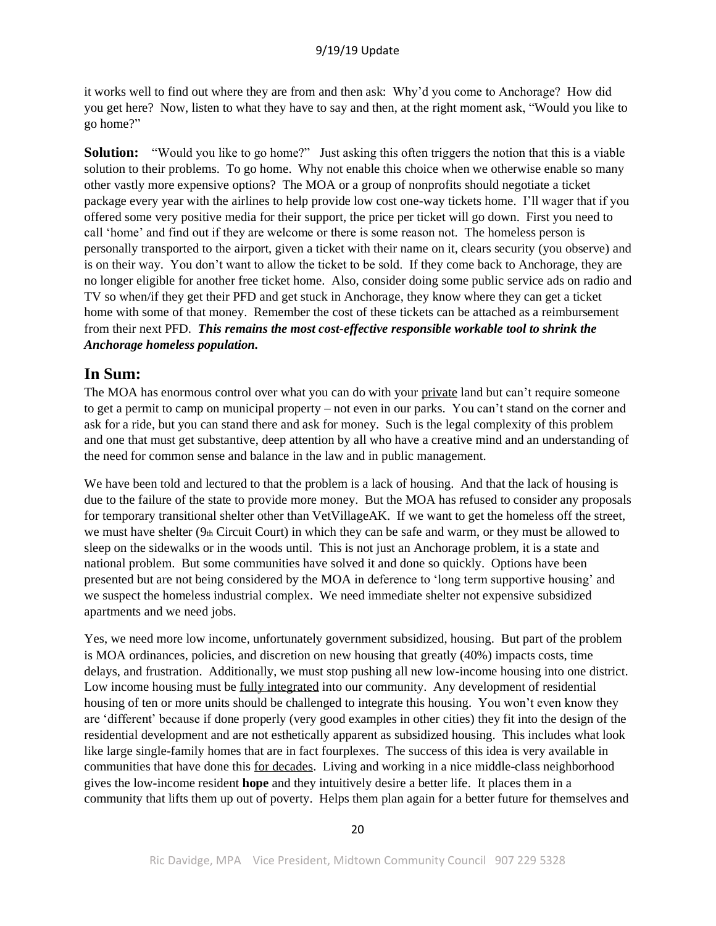it works well to find out where they are from and then ask: Why'd you come to Anchorage? How did you get here? Now, listen to what they have to say and then, at the right moment ask, "Would you like to go home?"

**Solution:** "Would you like to go home?" Just asking this often triggers the notion that this is a viable solution to their problems. To go home. Why not enable this choice when we otherwise enable so many other vastly more expensive options? The MOA or a group of nonprofits should negotiate a ticket package every year with the airlines to help provide low cost one-way tickets home. I'll wager that if you offered some very positive media for their support, the price per ticket will go down. First you need to call 'home' and find out if they are welcome or there is some reason not. The homeless person is personally transported to the airport, given a ticket with their name on it, clears security (you observe) and is on their way. You don't want to allow the ticket to be sold. If they come back to Anchorage, they are no longer eligible for another free ticket home. Also, consider doing some public service ads on radio and TV so when/if they get their PFD and get stuck in Anchorage, they know where they can get a ticket home with some of that money. Remember the cost of these tickets can be attached as a reimbursement from their next PFD. *This remains the most cost-effective responsible workable tool to shrink the Anchorage homeless population.*

## **In Sum:**

The MOA has enormous control over what you can do with your private land but can't require someone to get a permit to camp on municipal property – not even in our parks. You can't stand on the corner and ask for a ride, but you can stand there and ask for money. Such is the legal complexity of this problem and one that must get substantive, deep attention by all who have a creative mind and an understanding of the need for common sense and balance in the law and in public management.

We have been told and lectured to that the problem is a lack of housing. And that the lack of housing is due to the failure of the state to provide more money. But the MOA has refused to consider any proposals for temporary transitional shelter other than VetVillageAK. If we want to get the homeless off the street, we must have shelter (9th Circuit Court) in which they can be safe and warm, or they must be allowed to sleep on the sidewalks or in the woods until. This is not just an Anchorage problem, it is a state and national problem. But some communities have solved it and done so quickly. Options have been presented but are not being considered by the MOA in deference to 'long term supportive housing' and we suspect the homeless industrial complex. We need immediate shelter not expensive subsidized apartments and we need jobs.

Yes, we need more low income, unfortunately government subsidized, housing. But part of the problem is MOA ordinances, policies, and discretion on new housing that greatly (40%) impacts costs, time delays, and frustration. Additionally, we must stop pushing all new low-income housing into one district. Low income housing must be fully integrated into our community. Any development of residential housing of ten or more units should be challenged to integrate this housing. You won't even know they are 'different' because if done properly (very good examples in other cities) they fit into the design of the residential development and are not esthetically apparent as subsidized housing. This includes what look like large single-family homes that are in fact fourplexes. The success of this idea is very available in communities that have done this for decades. Living and working in a nice middle-class neighborhood gives the low-income resident **hope** and they intuitively desire a better life. It places them in a community that lifts them up out of poverty. Helps them plan again for a better future for themselves and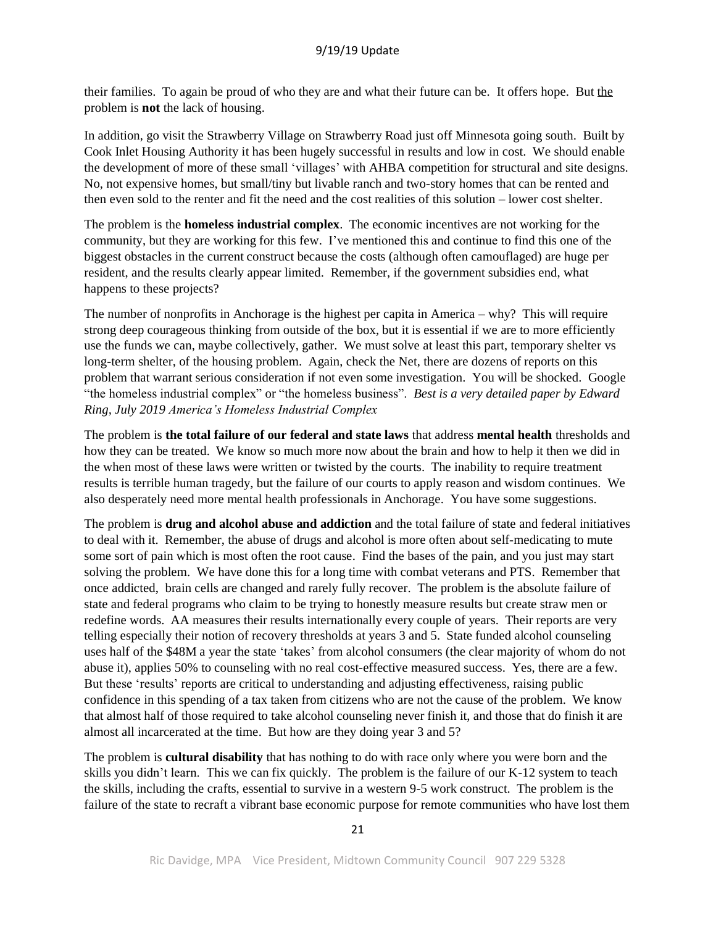their families. To again be proud of who they are and what their future can be. It offers hope. But the problem is **not** the lack of housing.

In addition, go visit the Strawberry Village on Strawberry Road just off Minnesota going south. Built by Cook Inlet Housing Authority it has been hugely successful in results and low in cost. We should enable the development of more of these small 'villages' with AHBA competition for structural and site designs. No, not expensive homes, but small/tiny but livable ranch and two-story homes that can be rented and then even sold to the renter and fit the need and the cost realities of this solution – lower cost shelter.

The problem is the **homeless industrial complex**. The economic incentives are not working for the community, but they are working for this few. I've mentioned this and continue to find this one of the biggest obstacles in the current construct because the costs (although often camouflaged) are huge per resident, and the results clearly appear limited. Remember, if the government subsidies end, what happens to these projects?

The number of nonprofits in Anchorage is the highest per capita in America – why? This will require strong deep courageous thinking from outside of the box, but it is essential if we are to more efficiently use the funds we can, maybe collectively, gather. We must solve at least this part, temporary shelter vs long-term shelter, of the housing problem. Again, check the Net, there are dozens of reports on this problem that warrant serious consideration if not even some investigation. You will be shocked. Google "the homeless industrial complex" or "the homeless business". *Best is a very detailed paper by Edward Ring, July 2019 America's Homeless Industrial Complex*

The problem is **the total failure of our federal and state laws** that address **mental health** thresholds and how they can be treated. We know so much more now about the brain and how to help it then we did in the when most of these laws were written or twisted by the courts. The inability to require treatment results is terrible human tragedy, but the failure of our courts to apply reason and wisdom continues. We also desperately need more mental health professionals in Anchorage. You have some suggestions.

The problem is **drug and alcohol abuse and addiction** and the total failure of state and federal initiatives to deal with it. Remember, the abuse of drugs and alcohol is more often about self-medicating to mute some sort of pain which is most often the root cause. Find the bases of the pain, and you just may start solving the problem. We have done this for a long time with combat veterans and PTS. Remember that once addicted, brain cells are changed and rarely fully recover. The problem is the absolute failure of state and federal programs who claim to be trying to honestly measure results but create straw men or redefine words. AA measures their results internationally every couple of years. Their reports are very telling especially their notion of recovery thresholds at years 3 and 5. State funded alcohol counseling uses half of the \$48M a year the state 'takes' from alcohol consumers (the clear majority of whom do not abuse it), applies 50% to counseling with no real cost-effective measured success. Yes, there are a few. But these 'results' reports are critical to understanding and adjusting effectiveness, raising public confidence in this spending of a tax taken from citizens who are not the cause of the problem. We know that almost half of those required to take alcohol counseling never finish it, and those that do finish it are almost all incarcerated at the time. But how are they doing year 3 and 5?

The problem is **cultural disability** that has nothing to do with race only where you were born and the skills you didn't learn. This we can fix quickly. The problem is the failure of our K-12 system to teach the skills, including the crafts, essential to survive in a western 9-5 work construct. The problem is the failure of the state to recraft a vibrant base economic purpose for remote communities who have lost them